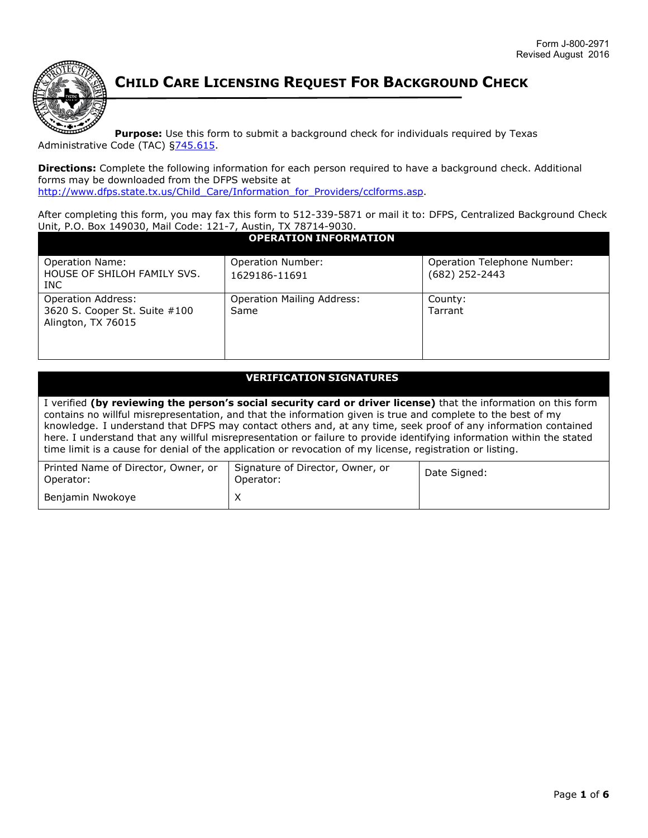

**CHILD CARE LICENSING REQUEST FOR BACKGROUND CHECK**

**Purpose:** Use this form to submit a background check for individuals required by Texas Administrative Code (TAC) §745.615.

**Directions:** Complete the following information for each person required to have a background check. Additional forms may be downloaded from the DFPS website at http://www.dfps.state.tx.us/Child\_Care/Information\_for\_Providers/cclforms.asp.

After completing this form, you may fax this form to 512-339-5871 or mail it to: DFPS, Centralized Background Check Unit, P.O. Box 149030, Mail Code: 121-7, Austin, TX 78714-9030.

| <b>OPERATION INFORMATION</b>                                                     |                                           |                                                 |  |  |  |  |  |
|----------------------------------------------------------------------------------|-------------------------------------------|-------------------------------------------------|--|--|--|--|--|
| <b>Operation Name:</b><br>HOUSE OF SHILOH FAMILY SVS.<br>INC.                    | <b>Operation Number:</b><br>1629186-11691 | Operation Telephone Number:<br>$(682)$ 252-2443 |  |  |  |  |  |
| <b>Operation Address:</b><br>3620 S. Cooper St. Suite #100<br>Alington, TX 76015 | <b>Operation Mailing Address:</b><br>Same | County:<br>Tarrant                              |  |  |  |  |  |

## **VERIFICATION SIGNATURES**

I verified **(by reviewing the person's social security card or driver license)** that the information on this form contains no willful misrepresentation, and that the information given is true and complete to the best of my knowledge. I understand that DFPS may contact others and, at any time, seek proof of any information contained here. I understand that any willful misrepresentation or failure to provide identifying information within the stated time limit is a cause for denial of the application or revocation of my license, registration or listing.

| Printed Name of Director, Owner, or<br>Operator: | Signature of Director, Owner, or<br>Operator: | Date Signed: |  |  |
|--------------------------------------------------|-----------------------------------------------|--------------|--|--|
| Benjamin Nwokoye                                 |                                               |              |  |  |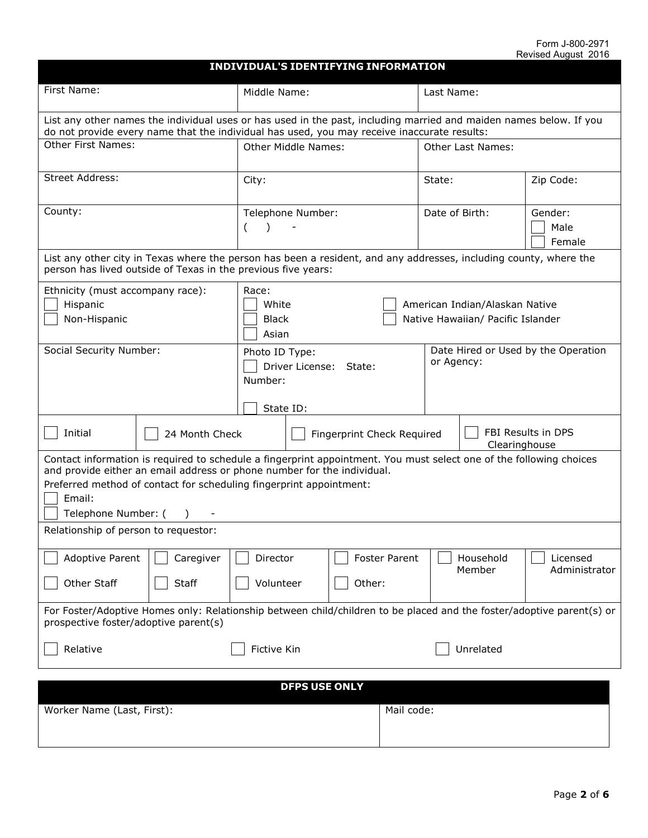| <b>INDIVIDUAL'S IDENTIFYING INFORMATION</b>                                                                                                                                                                                                                                                            |                                                                   |                                |                          |                           |  |  |  |  |
|--------------------------------------------------------------------------------------------------------------------------------------------------------------------------------------------------------------------------------------------------------------------------------------------------------|-------------------------------------------------------------------|--------------------------------|--------------------------|---------------------------|--|--|--|--|
| First Name:                                                                                                                                                                                                                                                                                            | Middle Name:                                                      |                                | Last Name:               |                           |  |  |  |  |
| List any other names the individual uses or has used in the past, including married and maiden names below. If you<br>do not provide every name that the individual has used, you may receive inaccurate results:                                                                                      |                                                                   |                                |                          |                           |  |  |  |  |
| <b>Other First Names:</b>                                                                                                                                                                                                                                                                              | <b>Other Middle Names:</b>                                        |                                | <b>Other Last Names:</b> |                           |  |  |  |  |
| Street Address:                                                                                                                                                                                                                                                                                        | City:                                                             |                                | State:                   | Zip Code:                 |  |  |  |  |
| County:                                                                                                                                                                                                                                                                                                | Telephone Number:<br>(                                            |                                | Date of Birth:           | Gender:<br>Male<br>Female |  |  |  |  |
| List any other city in Texas where the person has been a resident, and any addresses, including county, where the<br>person has lived outside of Texas in the previous five years:                                                                                                                     |                                                                   |                                |                          |                           |  |  |  |  |
| Ethnicity (must accompany race):<br>Race:<br>Hispanic<br>White<br>American Indian/Alaskan Native<br>Native Hawaiian/ Pacific Islander<br>Non-Hispanic<br><b>Black</b><br>Asian                                                                                                                         |                                                                   |                                |                          |                           |  |  |  |  |
| Social Security Number:                                                                                                                                                                                                                                                                                | Date Hired or Used by the Operation<br>or Agency:                 |                                |                          |                           |  |  |  |  |
| Initial<br>24 Month Check                                                                                                                                                                                                                                                                              | FBI Results in DPS<br>Fingerprint Check Required<br>Clearinghouse |                                |                          |                           |  |  |  |  |
| Contact information is required to schedule a fingerprint appointment. You must select one of the following choices<br>and provide either an email address or phone number for the individual.<br>Preferred method of contact for scheduling fingerprint appointment:<br>Email:<br>Telephone Number: ( |                                                                   |                                |                          |                           |  |  |  |  |
| Relationship of person to requestor:                                                                                                                                                                                                                                                                   |                                                                   |                                |                          |                           |  |  |  |  |
| Adoptive Parent<br>Caregiver<br>Other Staff<br><b>Staff</b>                                                                                                                                                                                                                                            | Director<br>Volunteer                                             | <b>Foster Parent</b><br>Other: | Household<br>Member      | Licensed<br>Administrator |  |  |  |  |
| For Foster/Adoptive Homes only: Relationship between child/children to be placed and the foster/adoptive parent(s) or<br>prospective foster/adoptive parent(s)                                                                                                                                         |                                                                   |                                |                          |                           |  |  |  |  |
| Relative                                                                                                                                                                                                                                                                                               | Unrelated<br><b>Fictive Kin</b>                                   |                                |                          |                           |  |  |  |  |
| <b>DFPS USE ONLY</b>                                                                                                                                                                                                                                                                                   |                                                                   |                                |                          |                           |  |  |  |  |

| <b>DITU VUL VIILI</b>      |            |  |  |  |  |  |
|----------------------------|------------|--|--|--|--|--|
| Worker Name (Last, First): | Mail code: |  |  |  |  |  |
|                            |            |  |  |  |  |  |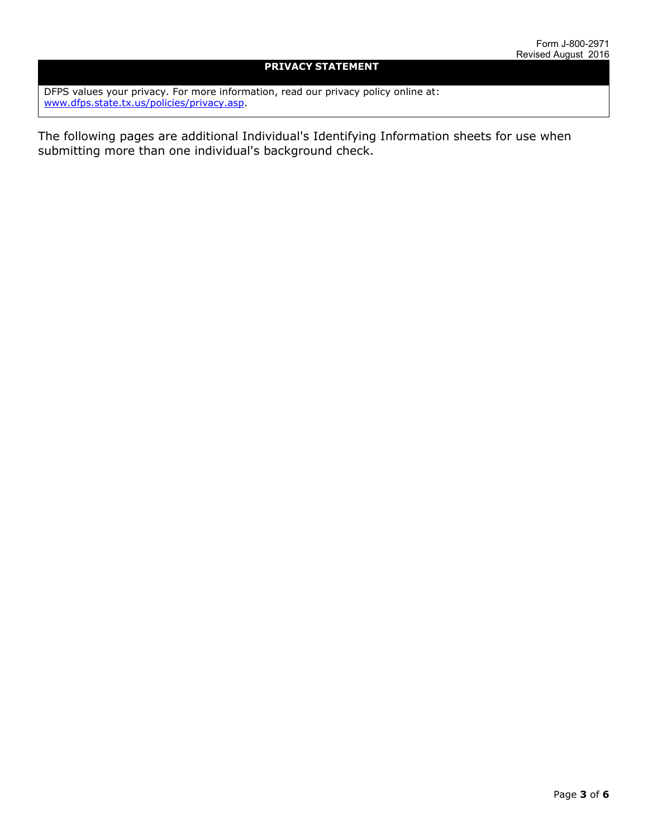## **PRIVACY STATEMENT**

DFPS values your privacy. For more information, read our privacy policy online at: www.dfps.state.tx.us/policies/privacy.asp.

The following pages are additional Individual's Identifying Information sheets for use when submitting more than one individual's background check.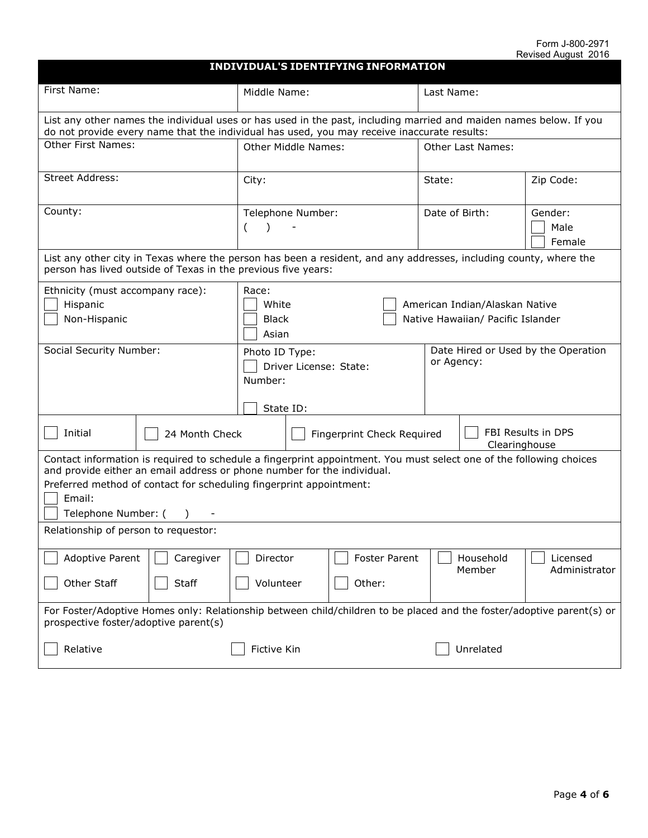| <b>INDIVIDUAL'S IDENTIFYING INFORMATION</b>                                                                                                                                                                                                                                                            |                                                                                                                                                                                    |                                                         |  |                                                   |  |                                             |                           |  |
|--------------------------------------------------------------------------------------------------------------------------------------------------------------------------------------------------------------------------------------------------------------------------------------------------------|------------------------------------------------------------------------------------------------------------------------------------------------------------------------------------|---------------------------------------------------------|--|---------------------------------------------------|--|---------------------------------------------|---------------------------|--|
| First Name:                                                                                                                                                                                                                                                                                            |                                                                                                                                                                                    | Middle Name:                                            |  |                                                   |  | Last Name:                                  |                           |  |
| List any other names the individual uses or has used in the past, including married and maiden names below. If you<br>do not provide every name that the individual has used, you may receive inaccurate results:                                                                                      |                                                                                                                                                                                    |                                                         |  |                                                   |  |                                             |                           |  |
| <b>Other First Names:</b>                                                                                                                                                                                                                                                                              |                                                                                                                                                                                    | Other Middle Names:                                     |  |                                                   |  | <b>Other Last Names:</b>                    |                           |  |
| Street Address:                                                                                                                                                                                                                                                                                        |                                                                                                                                                                                    | City:                                                   |  |                                                   |  | State:<br>Zip Code:                         |                           |  |
| County:                                                                                                                                                                                                                                                                                                |                                                                                                                                                                                    | Telephone Number:<br>$\left($                           |  |                                                   |  | Date of Birth:<br>Gender:<br>Male<br>Female |                           |  |
|                                                                                                                                                                                                                                                                                                        | List any other city in Texas where the person has been a resident, and any addresses, including county, where the<br>person has lived outside of Texas in the previous five years: |                                                         |  |                                                   |  |                                             |                           |  |
| Ethnicity (must accompany race):<br>Race:<br>White<br>Hispanic<br>American Indian/Alaskan Native<br>Native Hawaiian/ Pacific Islander<br>Non-Hispanic<br><b>Black</b><br>Asian                                                                                                                         |                                                                                                                                                                                    |                                                         |  |                                                   |  |                                             |                           |  |
| Social Security Number:<br>Photo ID Type:<br>Driver License: State:<br>Number:<br>State ID:                                                                                                                                                                                                            |                                                                                                                                                                                    |                                                         |  | Date Hired or Used by the Operation<br>or Agency: |  |                                             |                           |  |
| Initial                                                                                                                                                                                                                                                                                                | 24 Month Check                                                                                                                                                                     | Fingerprint Check Required                              |  |                                                   |  | FBI Results in DPS<br>Clearinghouse         |                           |  |
| Contact information is required to schedule a fingerprint appointment. You must select one of the following choices<br>and provide either an email address or phone number for the individual.<br>Preferred method of contact for scheduling fingerprint appointment:<br>Email:<br>Telephone Number: ( |                                                                                                                                                                                    |                                                         |  |                                                   |  |                                             |                           |  |
| Relationship of person to requestor:                                                                                                                                                                                                                                                                   |                                                                                                                                                                                    |                                                         |  |                                                   |  |                                             |                           |  |
| <b>Adoptive Parent</b><br>Other Staff                                                                                                                                                                                                                                                                  | Caregiver<br><b>Staff</b>                                                                                                                                                          | <b>Foster Parent</b><br>Director<br>Other:<br>Volunteer |  |                                                   |  | Household<br>Member                         | Licensed<br>Administrator |  |
| For Foster/Adoptive Homes only: Relationship between child/children to be placed and the foster/adoptive parent(s) or<br>prospective foster/adoptive parent(s)                                                                                                                                         |                                                                                                                                                                                    |                                                         |  |                                                   |  |                                             |                           |  |
| Relative<br>Unrelated<br>Fictive Kin                                                                                                                                                                                                                                                                   |                                                                                                                                                                                    |                                                         |  |                                                   |  |                                             |                           |  |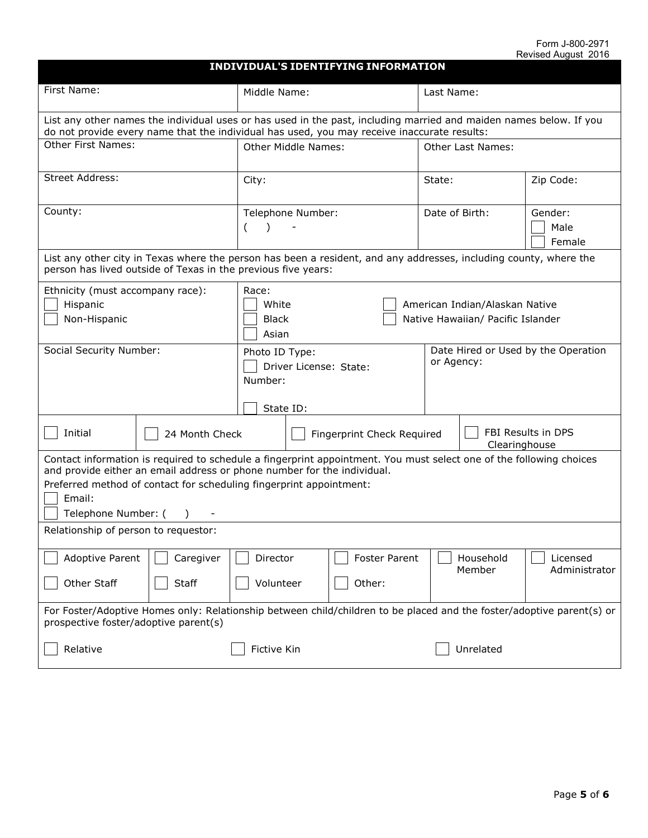| <b>INDIVIDUAL'S IDENTIFYING INFORMATION</b>                                                                                                                                                                                                                                                            |                                                                                                                                                                                    |                                                         |  |                                                   |        |                                             |                           |  |
|--------------------------------------------------------------------------------------------------------------------------------------------------------------------------------------------------------------------------------------------------------------------------------------------------------|------------------------------------------------------------------------------------------------------------------------------------------------------------------------------------|---------------------------------------------------------|--|---------------------------------------------------|--------|---------------------------------------------|---------------------------|--|
| First Name:                                                                                                                                                                                                                                                                                            |                                                                                                                                                                                    | Middle Name:                                            |  |                                                   |        | Last Name:                                  |                           |  |
| List any other names the individual uses or has used in the past, including married and maiden names below. If you<br>do not provide every name that the individual has used, you may receive inaccurate results:                                                                                      |                                                                                                                                                                                    |                                                         |  |                                                   |        |                                             |                           |  |
| <b>Other First Names:</b>                                                                                                                                                                                                                                                                              |                                                                                                                                                                                    | Other Middle Names:                                     |  |                                                   |        | <b>Other Last Names:</b>                    |                           |  |
| Street Address:                                                                                                                                                                                                                                                                                        |                                                                                                                                                                                    | City:                                                   |  |                                                   | State: | Zip Code:                                   |                           |  |
| County:                                                                                                                                                                                                                                                                                                |                                                                                                                                                                                    | Telephone Number:<br>$\left($                           |  |                                                   |        | Date of Birth:<br>Gender:<br>Male<br>Female |                           |  |
|                                                                                                                                                                                                                                                                                                        | List any other city in Texas where the person has been a resident, and any addresses, including county, where the<br>person has lived outside of Texas in the previous five years: |                                                         |  |                                                   |        |                                             |                           |  |
| Ethnicity (must accompany race):<br>Race:<br>White<br>Hispanic<br>American Indian/Alaskan Native<br>Native Hawaiian/ Pacific Islander<br>Non-Hispanic<br><b>Black</b><br>Asian                                                                                                                         |                                                                                                                                                                                    |                                                         |  |                                                   |        |                                             |                           |  |
| Social Security Number:<br>Photo ID Type:<br>Driver License: State:<br>Number:<br>State ID:                                                                                                                                                                                                            |                                                                                                                                                                                    |                                                         |  | Date Hired or Used by the Operation<br>or Agency: |        |                                             |                           |  |
| Initial                                                                                                                                                                                                                                                                                                | 24 Month Check                                                                                                                                                                     | Fingerprint Check Required                              |  |                                                   |        | FBI Results in DPS<br>Clearinghouse         |                           |  |
| Contact information is required to schedule a fingerprint appointment. You must select one of the following choices<br>and provide either an email address or phone number for the individual.<br>Preferred method of contact for scheduling fingerprint appointment:<br>Email:<br>Telephone Number: ( |                                                                                                                                                                                    |                                                         |  |                                                   |        |                                             |                           |  |
| Relationship of person to requestor:                                                                                                                                                                                                                                                                   |                                                                                                                                                                                    |                                                         |  |                                                   |        |                                             |                           |  |
| <b>Adoptive Parent</b><br>Other Staff                                                                                                                                                                                                                                                                  | Caregiver<br><b>Staff</b>                                                                                                                                                          | <b>Foster Parent</b><br>Director<br>Other:<br>Volunteer |  |                                                   |        | Household<br>Member                         | Licensed<br>Administrator |  |
| For Foster/Adoptive Homes only: Relationship between child/children to be placed and the foster/adoptive parent(s) or<br>prospective foster/adoptive parent(s)                                                                                                                                         |                                                                                                                                                                                    |                                                         |  |                                                   |        |                                             |                           |  |
| Relative<br>Unrelated<br>Fictive Kin                                                                                                                                                                                                                                                                   |                                                                                                                                                                                    |                                                         |  |                                                   |        |                                             |                           |  |